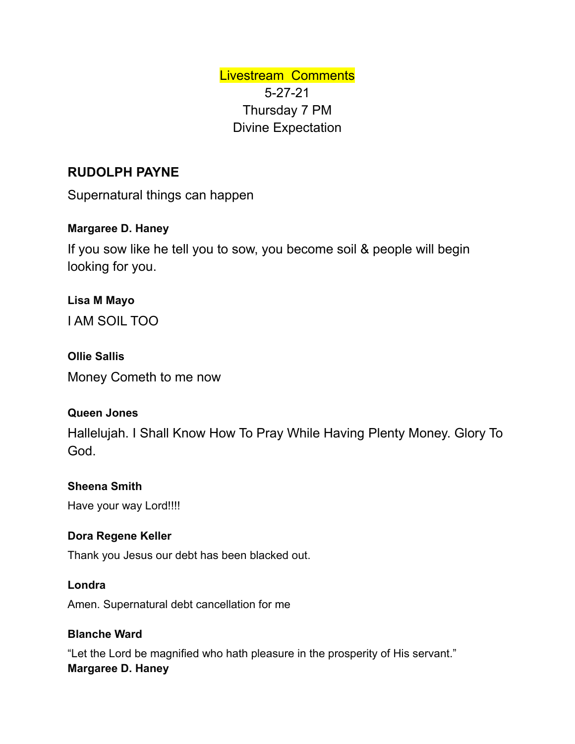Livestream Comments 5-27-21 Thursday 7 PM Divine Expectation

# **RUDOLPH PAYNE**

Supernatural things can happen

# **Margaree D. Haney**

If you sow like he tell you to sow, you become soil & people will begin looking for you.

**Lisa M Mayo** I AM SOIL TOO

#### **Ollie Sallis**

Money Cometh to me now

## **Queen Jones**

Hallelujah. I Shall Know How To Pray While Having Plenty Money. Glory To God.

## **Sheena Smith**

Have your way Lord!!!!

#### **Dora Regene Keller**

Thank you Jesus our debt has been blacked out.

#### **Londra**

Amen. Supernatural debt cancellation for me

## **Blanche Ward**

"Let the Lord be magnified who hath pleasure in the prosperity of His servant." **Margaree D. Haney**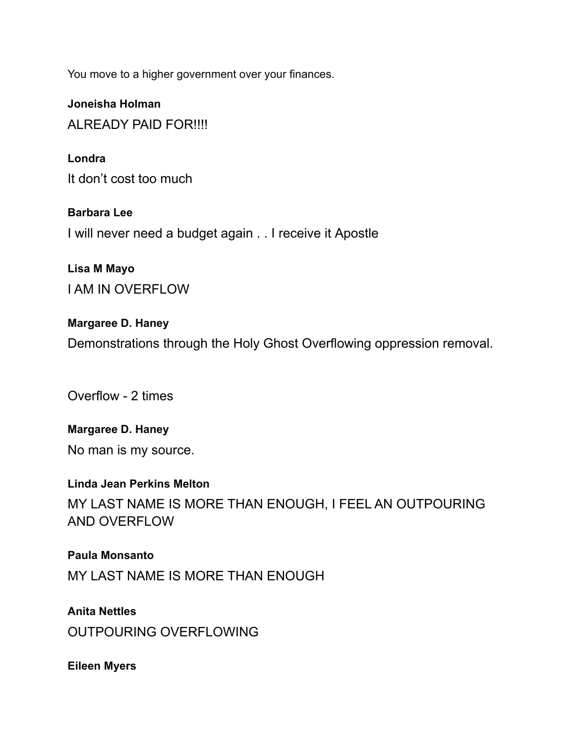You move to a higher government over your finances.

**Joneisha Holman** AI RFADY PAID FOR !!!!

**Londra** It don't cost too much

**Barbara Lee** I will never need a budget again . . I receive it Apostle

**Lisa M Mayo** I AM IN OVERFLOW

**Margaree D. Haney** Demonstrations through the Holy Ghost Overflowing oppression removal.

Overflow - 2 times

**Margaree D. Haney** No man is my source.

**Linda Jean Perkins Melton** MY LAST NAME IS MORE THAN ENOUGH, I FEEL AN OUTPOURING AND OVERFLOW

**Paula Monsanto** MY LAST NAME IS MORE THAN ENOUGH

**Anita Nettles** OUTPOURING OVERFLOWING

**Eileen Myers**